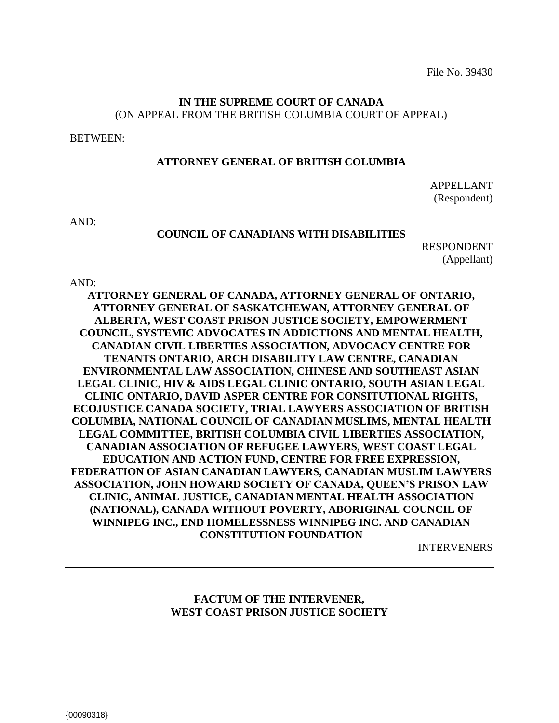File No. 39430

# **IN THE SUPREME COURT OF CANADA**  (ON APPEAL FROM THE BRITISH COLUMBIA COURT OF APPEAL)

BETWEEN:

#### **ATTORNEY GENERAL OF BRITISH COLUMBIA**

APPELLANT (Respondent)

AND:

#### **COUNCIL OF CANADIANS WITH DISABILITIES**

RESPONDENT (Appellant)

AND:

**ATTORNEY GENERAL OF CANADA, ATTORNEY GENERAL OF ONTARIO, ATTORNEY GENERAL OF SASKATCHEWAN, ATTORNEY GENERAL OF ALBERTA, WEST COAST PRISON JUSTICE SOCIETY, EMPOWERMENT COUNCIL, SYSTEMIC ADVOCATES IN ADDICTIONS AND MENTAL HEALTH, CANADIAN CIVIL LIBERTIES ASSOCIATION, ADVOCACY CENTRE FOR TENANTS ONTARIO, ARCH DISABILITY LAW CENTRE, CANADIAN ENVIRONMENTAL LAW ASSOCIATION, CHINESE AND SOUTHEAST ASIAN LEGAL CLINIC, HIV & AIDS LEGAL CLINIC ONTARIO, SOUTH ASIAN LEGAL CLINIC ONTARIO, DAVID ASPER CENTRE FOR CONSITUTIONAL RIGHTS, ECOJUSTICE CANADA SOCIETY, TRIAL LAWYERS ASSOCIATION OF BRITISH COLUMBIA, NATIONAL COUNCIL OF CANADIAN MUSLIMS, MENTAL HEALTH LEGAL COMMITTEE, BRITISH COLUMBIA CIVIL LIBERTIES ASSOCIATION, CANADIAN ASSOCIATION OF REFUGEE LAWYERS, WEST COAST LEGAL EDUCATION AND ACTION FUND, CENTRE FOR FREE EXPRESSION, FEDERATION OF ASIAN CANADIAN LAWYERS, CANADIAN MUSLIM LAWYERS ASSOCIATION, JOHN HOWARD SOCIETY OF CANADA, QUEEN'S PRISON LAW CLINIC, ANIMAL JUSTICE, CANADIAN MENTAL HEALTH ASSOCIATION (NATIONAL), CANADA WITHOUT POVERTY, ABORIGINAL COUNCIL OF WINNIPEG INC., END HOMELESSNESS WINNIPEG INC. AND CANADIAN CONSTITUTION FOUNDATION**

INTERVENERS

# **FACTUM OF THE INTERVENER, WEST COAST PRISON JUSTICE SOCIETY**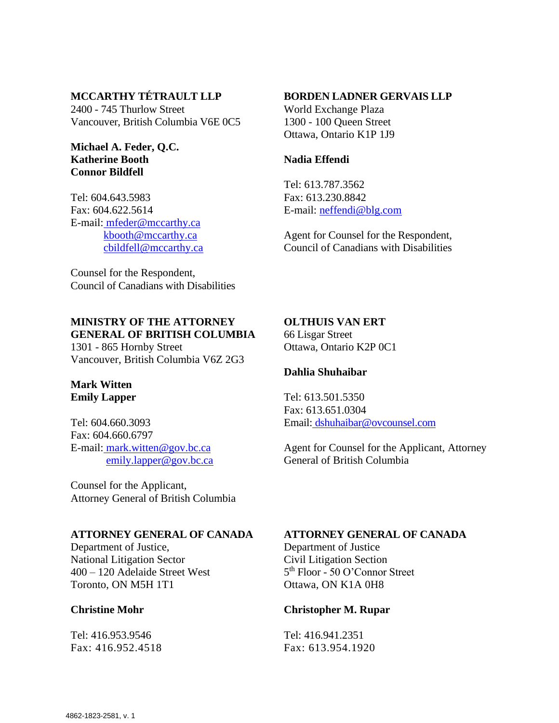# **MCCARTHY TÉTRAULT LLP**

2400 - 745 Thurlow Street Vancouver, British Columbia V6E 0C5

#### **Michael A. Feder, Q.C. Katherine Booth Connor Bildfell**

Tel: 604.643.5983 Fax: 604.622.5614 E-mail: [mfeder@mccarthy.ca](mailto:%20mfeder@mccarthy.ca) [kbooth@mccarthy.ca](mailto:kbooth@mccarthy.ca) [cbildfell@mccarthy.ca](mailto:cbildfell@mccarthy.ca)

Counsel for the Respondent, Council of Canadians with Disabilities

# **MINISTRY OF THE ATTORNEY GENERAL OF BRITISH COLUMBIA**

1301 - 865 Hornby Street Vancouver, British Columbia V6Z 2G3

# **Mark Witten Emily Lapper**

Tel: 604.660.3093 Fax: 604.660.6797 E-mail: [mark.witten@gov.bc.ca](mailto:mark.witten@gov.bc.ca) [emily.lapper@gov.bc.ca](mailto:emily.lapper@gov.bc.ca)

Counsel for the Applicant, Attorney General of British Columbia

# **ATTORNEY GENERAL OF CANADA**

Department of Justice, National Litigation Sector 400 – 120 Adelaide Street West Toronto, ON M5H 1T1

# **Christine Mohr**

Tel: 416.953.9546 Fax: 416.952.4518

#### **BORDEN LADNER GERVAIS LLP**

World Exchange Plaza 1300 - 100 Queen Street Ottawa, Ontario K1P 1J9

# **Nadia Effendi**

Tel: 613.787.3562 Fax: 613.230.8842 E-mail: [neffendi@blg.com](mailto:neffendi@blg.com)

Agent for Counsel for the Respondent, Council of Canadians with Disabilities

#### **OLTHUIS VAN ERT**

66 Lisgar Street Ottawa, Ontario K2P 0C1

# **Dahlia Shuhaibar**

Tel: 613.501.5350 Fax: 613.651.0304 Email: [dshuhaibar@ovcounsel.com](mailto:dahlia@gibvanertlaw.com)

Agent for Counsel for the Applicant, Attorney General of British Columbia

#### **ATTORNEY GENERAL OF CANADA**

Department of Justice Civil Litigation Section 5<sup>th</sup> Floor - 50 O'Connor Street Ottawa, ON K1A 0H8

#### **Christopher M. Rupar**

Tel: 416.941.2351 Fax: 613.954.1920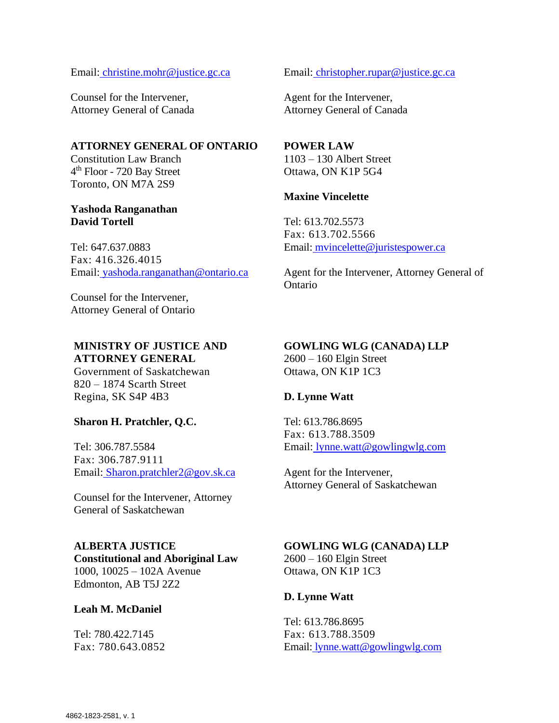Email: [christine.mohr@justice.gc.ca](mailto:christine.mohr@justice.gc.ca)

Counsel for the Intervener, Attorney General of Canada

# **ATTORNEY GENERAL OF ONTARIO**

Constitution Law Branch 4<sup>th</sup> Floor - 720 Bay Street Toronto, ON M7A 2S9

#### **Yashoda Ranganathan David Tortell**

Tel: 647.637.0883 Fax: 416.326.4015 Email: [yashoda.ranganathan@ontario.ca](mailto:yashoda.ranganathan@ontario.ca)

Counsel for the Intervener, Attorney General of Ontario

#### **MINISTRY OF JUSTICE AND ATTORNEY GENERAL**

Government of Saskatchewan 820 – 1874 Scarth Street Regina, SK S4P 4B3

#### **Sharon H. Pratchler, Q.C.**

Tel: 306.787.5584 Fax: 306.787.9111 Email: [Sharon.pratchler2@gov.sk.ca](mailto:Sharon.pratchler2@gov.sk.ca)

Counsel for the Intervener, Attorney General of Saskatchewan

# **ALBERTA JUSTICE**

**Constitutional and Aboriginal Law**  1000, 10025 – 102A Avenue Edmonton, AB T5J 2Z2

#### **Leah M. McDaniel**

Tel: 780.422.7145 Fax: 780.643.0852 Email: [christopher.rupar@justice.gc.ca](mailto:christopher.rupar@justice.gc.ca)

Agent for the Intervener, Attorney General of Canada

#### **POWER LAW**

1103 – 130 Albert Street Ottawa, ON K1P 5G4

# **Maxine Vincelette**

Tel: 613.702.5573 Fax: 613.702.5566 Email: [mvincelette@juristespower.ca](mailto:mvincelette@juristespower.ca)

Agent for the Intervener, Attorney General of Ontario

#### **GOWLING WLG (CANADA) LLP**

2600 – 160 Elgin Street Ottawa, ON K1P 1C3

#### **D. Lynne Watt**

Tel: 613.786.8695 Fax: 613.788.3509 Email: [lynne.watt@gowlingwlg.com](mailto:lynne.watt@gowlingwlg.com)

Agent for the Intervener, Attorney General of Saskatchewan

# **GOWLING WLG (CANADA) LLP**

2600 – 160 Elgin Street Ottawa, ON K1P 1C3

#### **D. Lynne Watt**

Tel: 613.786.8695 Fax: 613.788.3509 Email: [lynne.watt@gowlingwlg.com](mailto:lynne.watt@gowlingwlg.com)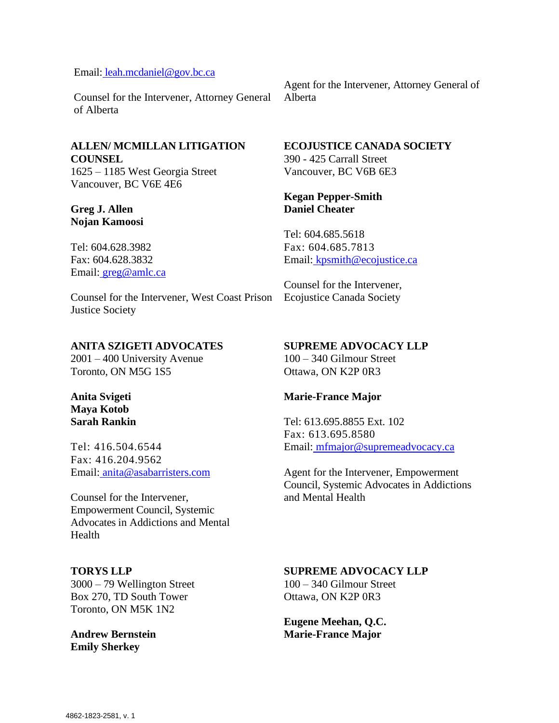# Email: [leah.mcdaniel@gov.bc.ca](mailto:leah.mcdaniel@gov.bc.ca)

Counsel for the Intervener, Attorney General of Alberta

# **ALLEN/ MCMILLAN LITIGATION COUNSEL**

1625 – 1185 West Georgia Street Vancouver, BC V6E 4E6

# **Greg J. Allen Nojan Kamoosi**

Tel: 604.628.3982 Fax: 604.628.3832 Email: [greg@amlc.ca](mailto:greg@amlc.ca)

Counsel for the Intervener, West Coast Prison Justice Society

# **ANITA SZIGETI ADVOCATES**

2001 – 400 University Avenue Toronto, ON M5G 1S5

#### **Anita Svigeti Maya Kotob Sarah Rankin**

Tel: 416.504.6544 Fax: 416.204.9562 Email: [anita@asabarristers.com](mailto:anita@asabarristers.com)

Counsel for the Intervener, Empowerment Council, Systemic Advocates in Addictions and Mental Health

#### **TORYS LLP**

3000 – 79 Wellington Street Box 270, TD South Tower Toronto, ON M5K 1N2

**Andrew Bernstein Emily Sherkey**

Agent for the Intervener, Attorney General of Alberta

# **ECOJUSTICE CANADA SOCIETY**

390 - 425 Carrall Street Vancouver, BC V6B 6E3

#### **Kegan Pepper-Smith Daniel Cheater**

Tel: 604.685.5618 Fax: 604.685.7813 Email: [kpsmith@ecojustice.ca](mailto:kpsmith@ecojustice.ca)

Counsel for the Intervener, Ecojustice Canada Society

# **SUPREME ADVOCACY LLP**

100 – 340 Gilmour Street Ottawa, ON K2P 0R3

#### **Marie-France Major**

Tel: 613.695.8855 Ext. 102 Fax: 613.695.8580 Email: [mfmajor@supremeadvocacy.ca](mailto:mfmajor@supremeadvocacy.ca)

Agent for the Intervener, Empowerment Council, Systemic Advocates in Addictions and Mental Health

#### **SUPREME ADVOCACY LLP**

100 – 340 Gilmour Street Ottawa, ON K2P 0R3

**Eugene Meehan, Q.C. Marie-France Major**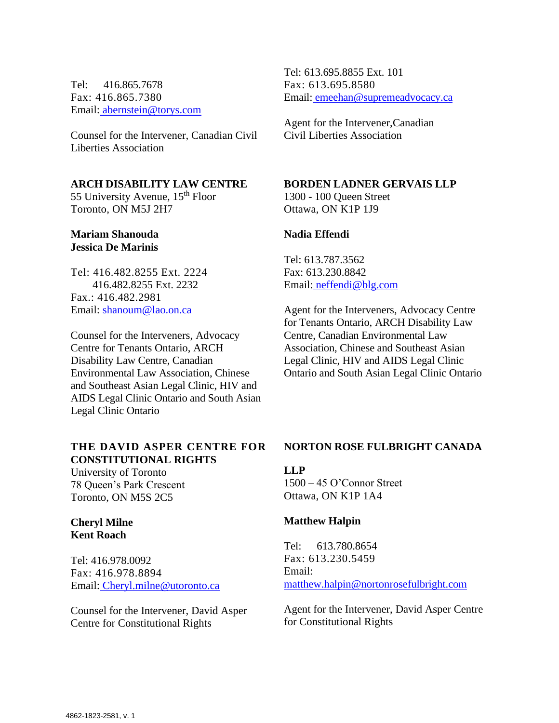Tel: 416.865.7678 Fax: 416.865.7380 Email: [abernstein@torys.com](mailto:abernstein@torys.com)

Counsel for the Intervener, Canadian Civil Liberties Association

#### **ARCH DISABILITY LAW CENTRE**

55 University Avenue, 15<sup>th</sup> Floor Toronto, ON M5J 2H7

#### **Mariam Shanouda Jessica De Marinis**

Tel: 416.482.8255 Ext. 2224 416.482.8255 Ext. 2232 Fax.: 416.482.2981 Email: [shanoum@lao.on.ca](mailto:shanoum@lao.on.ca)

Counsel for the Interveners, Advocacy Centre for Tenants Ontario, ARCH Disability Law Centre, Canadian Environmental Law Association, Chinese and Southeast Asian Legal Clinic, HIV and AIDS Legal Clinic Ontario and South Asian Legal Clinic Ontario

# **THE DAVID ASPER CENTRE FOR CONSTITUTIONAL RIGHTS**

University of Toronto 78 Queen's Park Crescent Toronto, ON M5S 2C5

#### **Cheryl Milne Kent Roach**

Tel: 416.978.0092 Fax: 416.978.8894 Email: [Cheryl.milne@utoronto.ca](mailto:Cheryl.milne@utoronto.ca)

Counsel for the Intervener, David Asper Centre for Constitutional Rights

Tel: 613.695.8855 Ext. 101 Fax: 613.695.8580 Email: [emeehan@supremeadvocacy.ca](mailto:emeehan@supremeadvocacy.ca)

Agent for the Intervener,Canadian Civil Liberties Association

# **BORDEN LADNER GERVAIS LLP**

1300 - 100 Queen Street Ottawa, ON K1P 1J9

#### **Nadia Effendi**

Tel: 613.787.3562 Fax: 613.230.8842 Email: [neffendi@blg.com](mailto:neffendi@blg.com)

Agent for the Interveners, Advocacy Centre for Tenants Ontario, ARCH Disability Law Centre, Canadian Environmental Law Association, Chinese and Southeast Asian Legal Clinic, HIV and AIDS Legal Clinic Ontario and South Asian Legal Clinic Ontario

#### **NORTON ROSE FULBRIGHT CANADA**

#### **LLP**

1500 – 45 O'Connor Street Ottawa, ON K1P 1A4

#### **Matthew Halpin**

Tel: 613.780.8654 Fax: 613.230.5459 Email: [matthew.halpin@nortonrosefulbright.com](mailto:matthew.halpin@nortonrosefulbright.com)

Agent for the Intervener, David Asper Centre for Constitutional Rights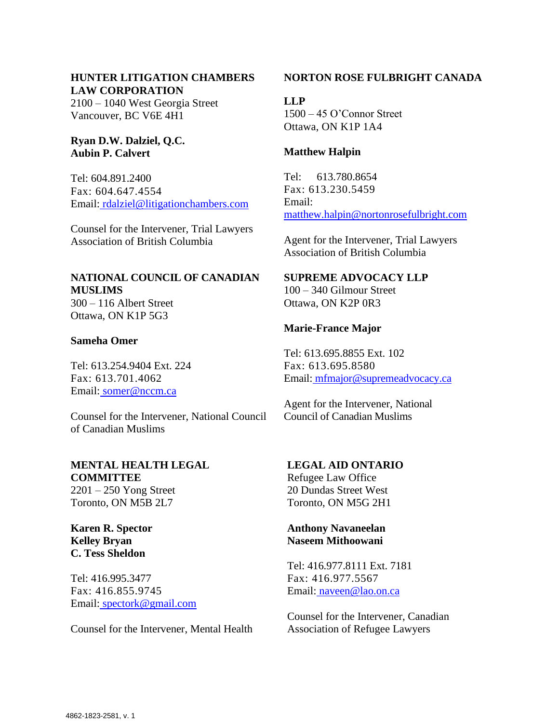# **HUNTER LITIGATION CHAMBERS LAW CORPORATION**

2100 – 1040 West Georgia Street Vancouver, BC V6E 4H1

# **Ryan D.W. Dalziel, Q.C. Aubin P. Calvert**

Tel: 604.891.2400 Fax: 604.647.4554 Email: [rdalziel@litigationchambers.com](mailto:rdalziel@litigationchambers.com)

Counsel for the Intervener, Trial Lawyers Association of British Columbia

# **NATIONAL COUNCIL OF CANADIAN MUSLIMS**

300 – 116 Albert Street Ottawa, ON K1P 5G3

# **Sameha Omer**

Tel: 613.254.9404 Ext. 224 Fax: 613.701.4062 Email: [somer@nccm.ca](mailto:somer@nccm.ca)

Counsel for the Intervener, National Council of Canadian Muslims

# **MENTAL HEALTH LEGAL COMMITTEE**

2201 – 250 Yong Street Toronto, ON M5B 2L7

**Karen R. Spector Kelley Bryan C. Tess Sheldon**

Tel: 416.995.3477 Fax: 416.855.9745 Email: [spectork@gmail.com](mailto:spectork@gmail.com)

Counsel for the Intervener, Mental Health

# **NORTON ROSE FULBRIGHT CANADA**

**LLP** 1500 – 45 O'Connor Street Ottawa, ON K1P 1A4

#### **Matthew Halpin**

Tel: 613.780.8654 Fax: 613.230.5459 Email: [matthew.halpin@nortonrosefulbright.com](mailto:matthew.halpin@nortonrosefulbright.com)

Agent for the Intervener, Trial Lawyers Association of British Columbia

# **SUPREME ADVOCACY LLP**

100 – 340 Gilmour Street Ottawa, ON K2P 0R3

#### **Marie-France Major**

Tel: 613.695.8855 Ext. 102 Fax: 613.695.8580 Email: [mfmajor@supremeadvocacy.ca](mailto:mfmajor@supremeadvocacy.ca)

Agent for the Intervener, National Council of Canadian Muslims

# **LEGAL AID ONTARIO**

Refugee Law Office 20 Dundas Street West Toronto, ON M5G 2H1

#### **Anthony Navaneelan Naseem Mithoowani**

Tel: 416.977.8111 Ext. 7181 Fax: 416.977.5567 Email: [naveen@lao.on.ca](mailto:naveen@lao.on.ca)

Counsel for the Intervener, Canadian Association of Refugee Lawyers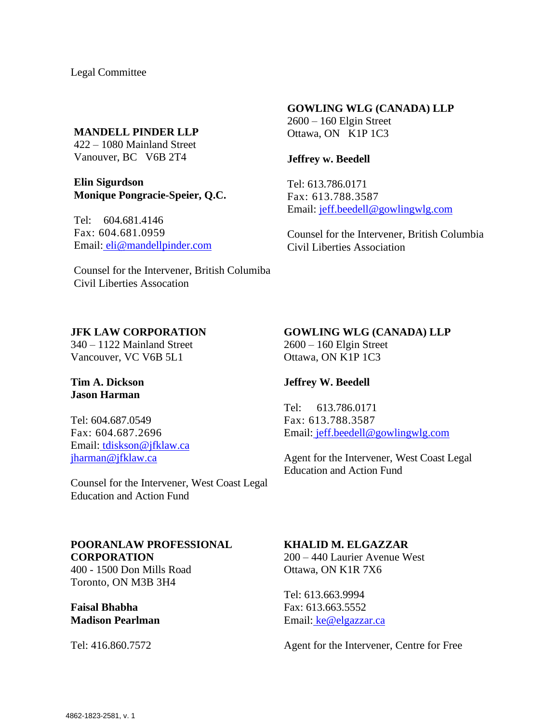Legal Committee

#### **MANDELL PINDER LLP**

422 – 1080 Mainland Street Vanouver, BC V6B 2T4

**Elin Sigurdson Monique Pongracie-Speier, Q.C.**

Tel: 604.681.4146 Fax: 604.681.0959 Email: [eli@mandellpinder.com](mailto:eli@mandellpinder.com)

# Counsel for the Intervener, British Columiba Civil Liberties Assocation

#### **GOWLING WLG (CANADA) LLP**

2600 – 160 Elgin Street Ottawa, ON K1P 1C3

#### **Jeffrey w. Beedell**

Tel: 613.786.0171 Fax: 613.788.3587 Email: [jeff.beedell@gowlingwlg.com](mailto:jeff.beedell@gowlingwlg.com)

Counsel for the Intervener, British Columbia Civil Liberties Association

# **JFK LAW CORPORATION**

340 – 1122 Mainland Street Vancouver, VC V6B 5L1

#### **Tim A. Dickson Jason Harman**

Tel: 604.687.0549 Fax: 604.687.2696 Email: [tdiskson@jfklaw.ca](mailto:tdiskson@jfklaw.ca) [jharman@jfklaw.ca](mailto:jharman@jfklaw.ca)

Counsel for the Intervener, West Coast Legal Education and Action Fund

#### **GOWLING WLG (CANADA) LLP**

2600 – 160 Elgin Street Ottawa, ON K1P 1C3

# **Jeffrey W. Beedell**

Tel: 613.786.0171 Fax: 613.788.3587 Email: [jeff.beedell@gowlingwlg.com](mailto:jeff.beedell@gowlingwlg.com)

Agent for the Intervener, West Coast Legal Education and Action Fund

# **POORANLAW PROFESSIONAL CORPORATION**

400 - 1500 Don Mills Road Toronto, ON M3B 3H4

**Faisal Bhabha Madison Pearlman**

Tel: 416.860.7572

#### **KHALID M. ELGAZZAR**

200 – 440 Laurier Avenue West Ottawa, ON K1R 7X6

Tel: 613.663.9994 Fax: 613.663.5552 Email: [ke@elgazzar.ca](mailto:ke@elgazzar.ca)

Agent for the Intervener, Centre for Free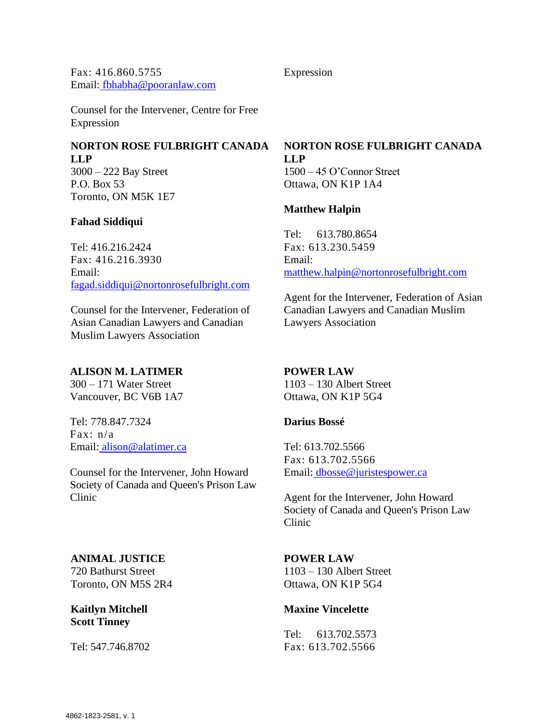Fax: 416.860.5755 Email: [fbhabha@pooranlaw.com](mailto:fbhabha@pooranlaw.com)

Counsel for the Intervener, Centre for Free Expression

# **NORTON ROSE FULBRIGHT CANADA LLP**

3000 – 222 Bay Street P.O. Box 53 Toronto, ON M5K 1E7

# **Fahad Siddiqui**

Tel: 416.216.2424 Fax: 416.216.3930 Email: [fagad.siddiqui@nortonrosefulbright.com](mailto:fagad.siddiqui@nortonrosefulbright.com)

Counsel for the Intervener, Federation of Asian Canadian Lawyers and Canadian Muslim Lawyers Association

# **ALISON M. LATIMER**

300 – 171 Water Street Vancouver, BC V6B 1A7

Tel: 778.847.7324 Fax: n/a Email: [alison@alatimer.ca](mailto:alison@alatimer.ca)

Counsel for the Intervener, John Howard Society of Canada and Queen's Prison Law Clinic

# **ANIMAL JUSTICE**

720 Bathurst Street Toronto, ON M5S 2R4

**Kaitlyn Mitchell Scott Tinney**

Tel: 547.746.8702

# **NORTON ROSE FULBRIGHT CANADA LLP**

1500 – 45 O'Connor Street Ottawa, ON K1P 1A4

# **Matthew Halpin**

Expression

Tel: 613.780.8654 Fax: 613.230.5459 Email: [matthew.halpin@nortonrosefulbright.com](mailto:matthew.halpin@nortonrosefulbright.com)

Agent for the Intervener, Federation of Asian Canadian Lawyers and Canadian Muslim Lawyers Association

# **POWER LAW**

1103 – 130 Albert Street Ottawa, ON K1P 5G4

# **Darius Bossé**

Tel: 613.702.5566 Fax: 613.702.5566 Email: [dbosse@juristespower.ca](mailto:dbosse@juristespower.ca)

Agent for the Intervener, John Howard Society of Canada and Queen's Prison Law Clinic

# **POWER LAW**

1103 – 130 Albert Street Ottawa, ON K1P 5G4

# **Maxine Vincelette**

Tel: 613.702.5573 Fax: 613.702.5566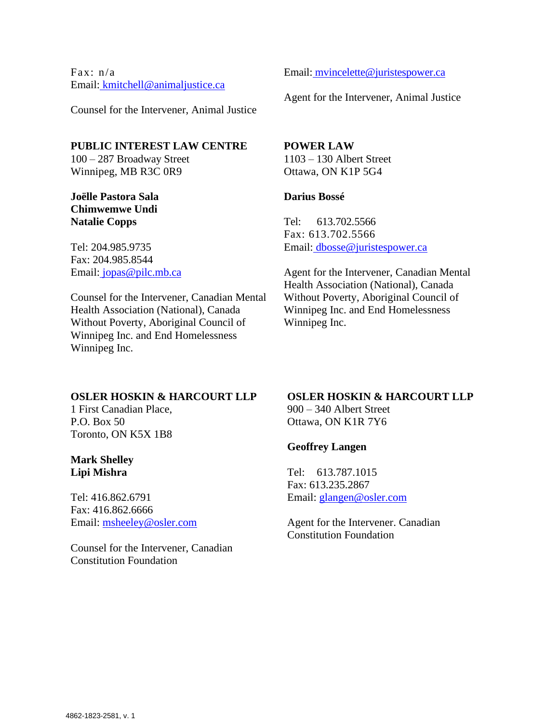Fax: n/a Email: [kmitchell@animaljustice.ca](mailto:kmitchell@animaljustice.ca)

Counsel for the Intervener, Animal Justice

# **PUBLIC INTEREST LAW CENTRE**

100 – 287 Broadway Street Winnipeg, MB R3C 0R9

# **Joëlle Pastora Sala Chimwemwe Undi Natalie Copps**

Tel: 204.985.9735 Fax: 204.985.8544 Email: [jopas@pilc.mb.ca](mailto:jopas@pilc.mb.ca)

Counsel for the Intervener, Canadian Mental Health Association (National), Canada Without Poverty, Aboriginal Council of Winnipeg Inc. and End Homelessness Winnipeg Inc.

#### Email: [mvincelette@juristespower.ca](mailto:mvincelette@juristespower.ca)

Agent for the Intervener, Animal Justice

# **POWER LAW**

1103 – 130 Albert Street Ottawa, ON K1P 5G4

#### **Darius Bossé**

Tel: 613.702.5566 Fax: 613.702.5566 Email: [dbosse@juristespower.ca](mailto:dbosse@juristespower.ca)

Agent for the Intervener, Canadian Mental Health Association (National), Canada Without Poverty, Aboriginal Council of Winnipeg Inc. and End Homelessness Winnipeg Inc.

#### **OSLER HOSKIN & HARCOURT LLP**

1 First Canadian Place, P.O. Box 50 Toronto, ON K5X 1B8

# **Mark Shelley Lipi Mishra**

Tel: 416.862.6791 Fax: 416.862.6666 Email: [msheeley@osler.com](mailto:msheeley@osler.com)

Counsel for the Intervener, Canadian Constitution Foundation

#### **OSLER HOSKIN & HARCOURT LLP** 900 – 340 Albert Street

Ottawa, ON K1R 7Y6

# **Geoffrey Langen**

Tel: 613.787.1015 Fax: 613.235.2867 Email: [glangen@osler.com](mailto:glangen@osler.com)

Agent for the Intervener. Canadian Constitution Foundation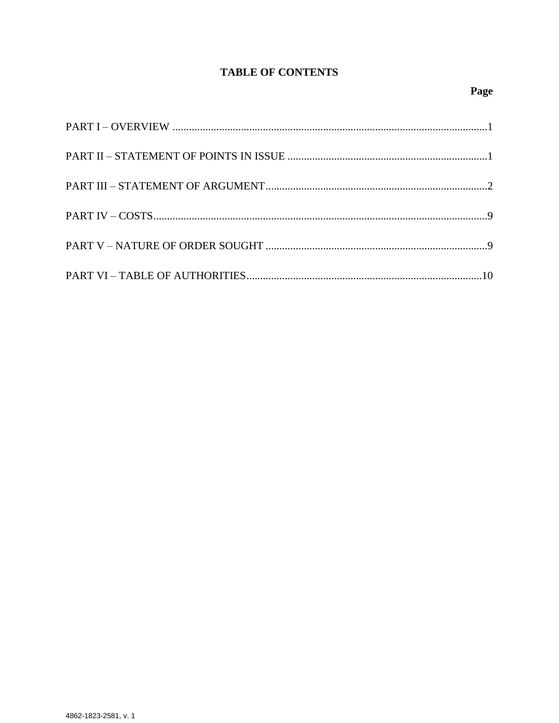# **TABLE OF CONTENTS**

# Page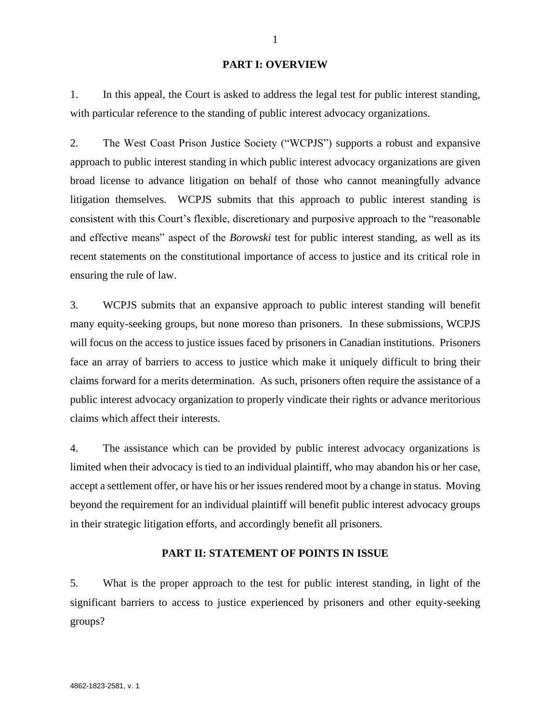#### **PART I: OVERVIEW**

1. In this appeal, the Court is asked to address the legal test for public interest standing, with particular reference to the standing of public interest advocacy organizations.

2. The West Coast Prison Justice Society ("WCPJS") supports a robust and expansive approach to public interest standing in which public interest advocacy organizations are given broad license to advance litigation on behalf of those who cannot meaningfully advance litigation themselves. WCPJS submits that this approach to public interest standing is consistent with this Court's flexible, discretionary and purposive approach to the "reasonable and effective means" aspect of the *Borowski* test for public interest standing, as well as its recent statements on the constitutional importance of access to justice and its critical role in ensuring the rule of law.

3. WCPJS submits that an expansive approach to public interest standing will benefit many equity-seeking groups, but none moreso than prisoners. In these submissions, WCPJS will focus on the access to justice issues faced by prisoners in Canadian institutions. Prisoners face an array of barriers to access to justice which make it uniquely difficult to bring their claims forward for a merits determination. As such, prisoners often require the assistance of a public interest advocacy organization to properly vindicate their rights or advance meritorious claims which affect their interests.

4. The assistance which can be provided by public interest advocacy organizations is limited when their advocacy is tied to an individual plaintiff, who may abandon his or her case, accept a settlement offer, or have his or her issues rendered moot by a change in status. Moving beyond the requirement for an individual plaintiff will benefit public interest advocacy groups in their strategic litigation efforts, and accordingly benefit all prisoners.

#### **PART II: STATEMENT OF POINTS IN ISSUE**

5. What is the proper approach to the test for public interest standing, in light of the significant barriers to access to justice experienced by prisoners and other equity-seeking groups?

1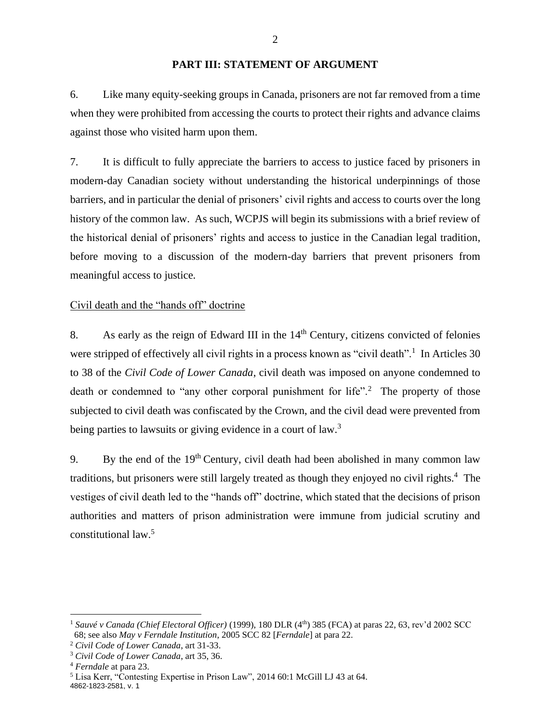#### **PART III: STATEMENT OF ARGUMENT**

6. Like many equity-seeking groups in Canada, prisoners are not far removed from a time when they were prohibited from accessing the courts to protect their rights and advance claims against those who visited harm upon them.

7. It is difficult to fully appreciate the barriers to access to justice faced by prisoners in modern-day Canadian society without understanding the historical underpinnings of those barriers, and in particular the denial of prisoners' civil rights and access to courts over the long history of the common law. As such, WCPJS will begin its submissions with a brief review of the historical denial of prisoners' rights and access to justice in the Canadian legal tradition, before moving to a discussion of the modern-day barriers that prevent prisoners from meaningful access to justice.

# Civil death and the "hands off" doctrine

8. As early as the reign of Edward III in the  $14<sup>th</sup>$  Century, citizens convicted of felonies were stripped of effectively all civil rights in a process known as "civil death".<sup>1</sup> In Articles 30 to 38 of the *Civil Code of Lower Canada*, civil death was imposed on anyone condemned to death or condemned to "any other corporal punishment for life".<sup>2</sup> The property of those subjected to civil death was confiscated by the Crown, and the civil dead were prevented from being parties to lawsuits or giving evidence in a court of law.<sup>3</sup>

9. By the end of the  $19<sup>th</sup>$  Century, civil death had been abolished in many common law traditions, but prisoners were still largely treated as though they enjoyed no civil rights.<sup>4</sup> The vestiges of civil death led to the "hands off" doctrine, which stated that the decisions of prison authorities and matters of prison administration were immune from judicial scrutiny and constitutional law.<sup>5</sup>

<sup>&</sup>lt;sup>1</sup> Sauvé v Canada (Chief Electoral Officer) (1999), 180 DLR (4<sup>th</sup>) 385 (FCA) at paras 22, 63, rev'd 2002 SCC 68; see also *May v Ferndale Institution*, 2005 SCC 82 [*Ferndale*] at para 22.

<sup>2</sup> *Civil Code of Lower Canada*, art 31-33.

<sup>3</sup> *Civil Code of Lower Canada*, art 35, 36.

<sup>4</sup> *Ferndale* at para 23.

<sup>4862-1823-2581,</sup> v. 1 <sup>5</sup> Lisa Kerr, "Contesting Expertise in Prison Law", 2014 60:1 McGill LJ 43 at 64.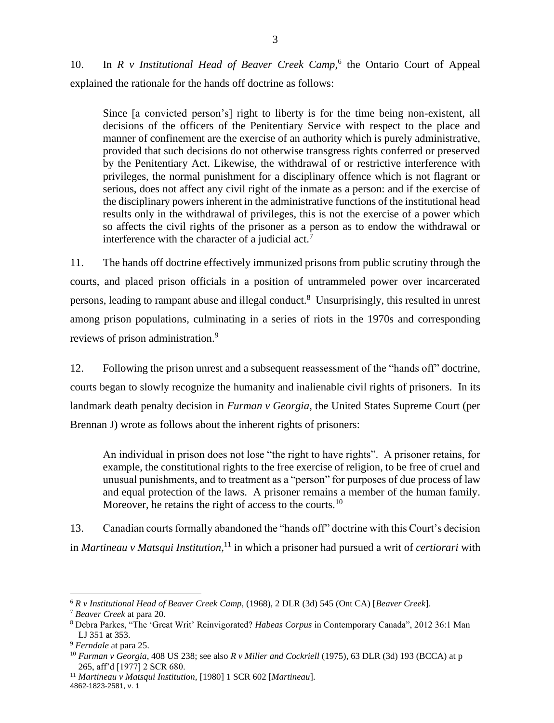10. In *R v Institutional Head of Beaver Creek Camp*,<sup>6</sup> the Ontario Court of Appeal explained the rationale for the hands off doctrine as follows:

Since [a convicted person's] right to liberty is for the time being non-existent, all decisions of the officers of the Penitentiary Service with respect to the place and manner of confinement are the exercise of an authority which is purely administrative, provided that such decisions do not otherwise transgress rights conferred or preserved by the Penitentiary Act. Likewise, the withdrawal of or restrictive interference with privileges, the normal punishment for a disciplinary offence which is not flagrant or serious, does not affect any civil right of the inmate as a person: and if the exercise of the disciplinary powers inherent in the administrative functions of the institutional head results only in the withdrawal of privileges, this is not the exercise of a power which so affects the civil rights of the prisoner as a person as to endow the withdrawal or interference with the character of a judicial act.<sup>7</sup>

11. The hands off doctrine effectively immunized prisons from public scrutiny through the courts, and placed prison officials in a position of untrammeled power over incarcerated persons, leading to rampant abuse and illegal conduct.<sup>8</sup> Unsurprisingly, this resulted in unrest among prison populations, culminating in a series of riots in the 1970s and corresponding reviews of prison administration.<sup>9</sup>

12. Following the prison unrest and a subsequent reassessment of the "hands off" doctrine, courts began to slowly recognize the humanity and inalienable civil rights of prisoners. In its landmark death penalty decision in *Furman v Georgia*, the United States Supreme Court (per Brennan J) wrote as follows about the inherent rights of prisoners:

An individual in prison does not lose "the right to have rights". A prisoner retains, for example, the constitutional rights to the free exercise of religion, to be free of cruel and unusual punishments, and to treatment as a "person" for purposes of due process of law and equal protection of the laws. A prisoner remains a member of the human family. Moreover, he retains the right of access to the courts.<sup>10</sup>

13. Canadian courts formally abandoned the "hands off" doctrine with this Court's decision in *Martineau v Matsqui Institution*, <sup>11</sup> in which a prisoner had pursued a writ of *certiorari* with

<sup>6</sup> *R v Institutional Head of Beaver Creek Camp,* (1968), 2 DLR (3d) 545 (Ont CA) [*Beaver Creek*].

<sup>7</sup> *Beaver Creek* at para 20.

<sup>8</sup> Debra Parkes, "The 'Great Writ' Reinvigorated? *Habeas Corpus* in Contemporary Canada", 2012 36:1 Man LJ 351 at 353.

<sup>9</sup> *Ferndale* at para 25.

<sup>10</sup> *Furman v Georgia*, 408 US 238; see also *R v Miller and Cockriell* (1975), 63 DLR (3d) 193 (BCCA) at p 265, aff'd [1977] 2 SCR 680.

<sup>4862-1823-2581,</sup> v. 1 <sup>11</sup> *Martineau v Matsqui Institution,* [1980] 1 SCR 602 [*Martineau*].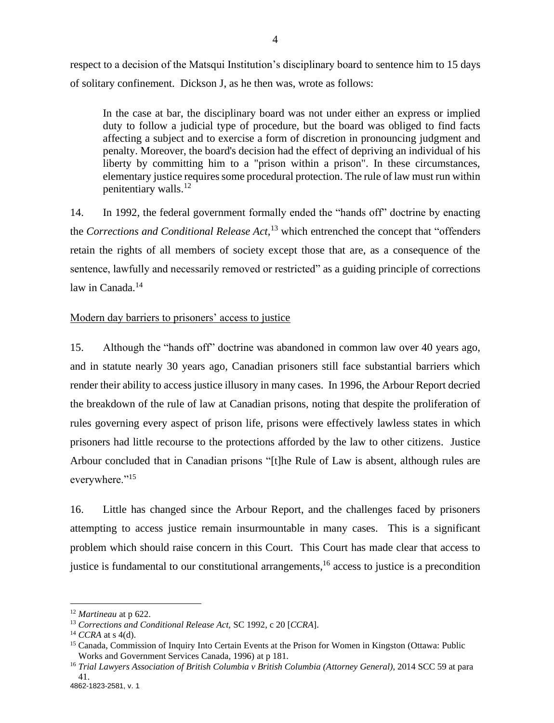respect to a decision of the Matsqui Institution's disciplinary board to sentence him to 15 days of solitary confinement. Dickson J, as he then was, wrote as follows:

In the case at bar, the disciplinary board was not under either an express or implied duty to follow a judicial type of procedure, but the board was obliged to find facts affecting a subject and to exercise a form of discretion in pronouncing judgment and penalty. Moreover, the board's decision had the effect of depriving an individual of his liberty by committing him to a "prison within a prison". In these circumstances, elementary justice requires some procedural protection. The rule of law must run within penitentiary walls.<sup>12</sup>

14. In 1992, the federal government formally ended the "hands off" doctrine by enacting the *Corrections and Conditional Release Act*, <sup>13</sup> which entrenched the concept that "offenders retain the rights of all members of society except those that are, as a consequence of the sentence, lawfully and necessarily removed or restricted" as a guiding principle of corrections law in Canada. $14$ 

#### Modern day barriers to prisoners' access to justice

15. Although the "hands off" doctrine was abandoned in common law over 40 years ago, and in statute nearly 30 years ago, Canadian prisoners still face substantial barriers which render their ability to access justice illusory in many cases. In 1996, the Arbour Report decried the breakdown of the rule of law at Canadian prisons, noting that despite the proliferation of rules governing every aspect of prison life, prisons were effectively lawless states in which prisoners had little recourse to the protections afforded by the law to other citizens. Justice Arbour concluded that in Canadian prisons "[t]he Rule of Law is absent, although rules are everywhere."<sup>15</sup>

16. Little has changed since the Arbour Report, and the challenges faced by prisoners attempting to access justice remain insurmountable in many cases. This is a significant problem which should raise concern in this Court. This Court has made clear that access to justice is fundamental to our constitutional arrangements,<sup>16</sup> access to justice is a precondition

<sup>12</sup> *Martineau* at p 622.

<sup>13</sup> *Corrections and Conditional Release Act,* SC 1992, c 20 [*CCRA*].

<sup>14</sup> *CCRA* at s 4(d).

<sup>&</sup>lt;sup>15</sup> Canada, Commission of Inquiry Into Certain Events at the Prison for Women in Kingston (Ottawa: Public Works and Government Services Canada, 1996) at p 181.

<sup>16</sup> *Trial Lawyers Association of British Columbia v British Columbia (Attorney General)*, 2014 SCC 59 at para 41.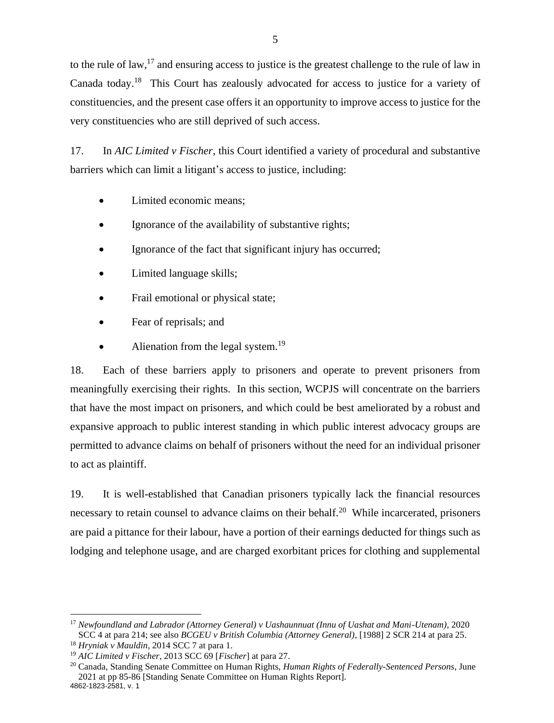to the rule of law,<sup>17</sup> and ensuring access to justice is the greatest challenge to the rule of law in Canada today.<sup>18</sup> This Court has zealously advocated for access to justice for a variety of constituencies, and the present case offers it an opportunity to improve access to justice for the very constituencies who are still deprived of such access.

17. In *AIC Limited v Fischer*, this Court identified a variety of procedural and substantive barriers which can limit a litigant's access to justice, including:

- Limited economic means:
- Ignorance of the availability of substantive rights;
- Ignorance of the fact that significant injury has occurred;
- Limited language skills;
- Frail emotional or physical state;
- Fear of reprisals; and
- Alienation from the legal system. $^{19}$

18. Each of these barriers apply to prisoners and operate to prevent prisoners from meaningfully exercising their rights. In this section, WCPJS will concentrate on the barriers that have the most impact on prisoners, and which could be best ameliorated by a robust and expansive approach to public interest standing in which public interest advocacy groups are permitted to advance claims on behalf of prisoners without the need for an individual prisoner to act as plaintiff.

19. It is well-established that Canadian prisoners typically lack the financial resources necessary to retain counsel to advance claims on their behalf.<sup>20</sup> While incarcerated, prisoners are paid a pittance for their labour, have a portion of their earnings deducted for things such as lodging and telephone usage, and are charged exorbitant prices for clothing and supplemental

<sup>17</sup> *Newfoundland and Labrador (Attorney General) v Uashaunnuat (Innu of Uashat and Mani-Utenam)*, 2020 SCC 4 at para 214; see also *BCGEU v British Columbia (Attorney General)*, [1988] 2 SCR 214 at para 25.

<sup>18</sup> *Hryniak v Mauldin*, 2014 SCC 7 at para 1.

<sup>19</sup> *AIC Limited v Fischer*, 2013 SCC 69 [*Fischer*] at para 27.

<sup>4862-1823-2581,</sup> v. 1 <sup>20</sup> Canada, Standing Senate Committee on Human Rights, *Human Rights of Federally-Sentenced Persons*, June 2021 at pp 85-86 [Standing Senate Committee on Human Rights Report].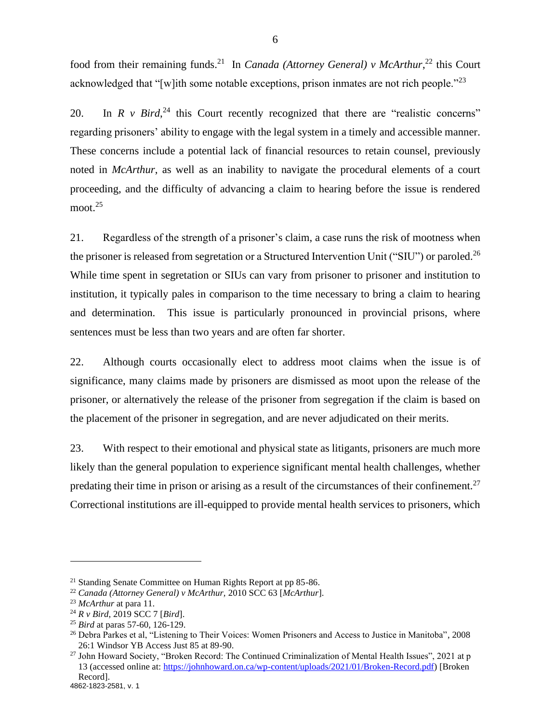food from their remaining funds.<sup>21</sup> In *Canada (Attorney General) v McArthur*,<sup>22</sup> this Court acknowledged that "[w]ith some notable exceptions, prison inmates are not rich people."<sup>23</sup>

20. In  $R$  v  $Bird$ ,  $^{24}$  this Court recently recognized that there are "realistic concerns" regarding prisoners' ability to engage with the legal system in a timely and accessible manner. These concerns include a potential lack of financial resources to retain counsel, previously noted in *McArthur*, as well as an inability to navigate the procedural elements of a court proceeding, and the difficulty of advancing a claim to hearing before the issue is rendered moot.<sup>25</sup>

21. Regardless of the strength of a prisoner's claim, a case runs the risk of mootness when the prisoner is released from segretation or a Structured Intervention Unit ("SIU") or paroled.<sup>26</sup> While time spent in segretation or SIUs can vary from prisoner to prisoner and institution to institution, it typically pales in comparison to the time necessary to bring a claim to hearing and determination. This issue is particularly pronounced in provincial prisons, where sentences must be less than two years and are often far shorter.

22. Although courts occasionally elect to address moot claims when the issue is of significance, many claims made by prisoners are dismissed as moot upon the release of the prisoner, or alternatively the release of the prisoner from segregation if the claim is based on the placement of the prisoner in segregation, and are never adjudicated on their merits.

23. With respect to their emotional and physical state as litigants, prisoners are much more likely than the general population to experience significant mental health challenges, whether predating their time in prison or arising as a result of the circumstances of their confinement.<sup>27</sup> Correctional institutions are ill-equipped to provide mental health services to prisoners, which

<sup>&</sup>lt;sup>21</sup> Standing Senate Committee on Human Rights Report at pp 85-86.

<sup>22</sup> *Canada (Attorney General) v McArthur,* 2010 SCC 63 [*McArthur*].

<sup>23</sup> *McArthur* at para 11.

<sup>24</sup> *R v Bird*, 2019 SCC 7 [*Bird*].

<sup>25</sup> *Bird* at paras 57-60, 126-129.

<sup>&</sup>lt;sup>26</sup> Debra Parkes et al, "Listening to Their Voices: Women Prisoners and Access to Justice in Manitoba", 2008 26:1 Windsor YB Access Just 85 at 89-90.

<sup>&</sup>lt;sup>27</sup> John Howard Society, "Broken Record: The Continued Criminalization of Mental Health Issues", 2021 at p 13 (accessed online at: [https://johnhoward.on.ca/wp-content/uploads/2021/01/Broken-Record.pdf\)](https://johnhoward.on.ca/wp-content/uploads/2021/01/Broken-Record.pdf) [Broken Record].

<sup>4862-1823-2581,</sup> v. 1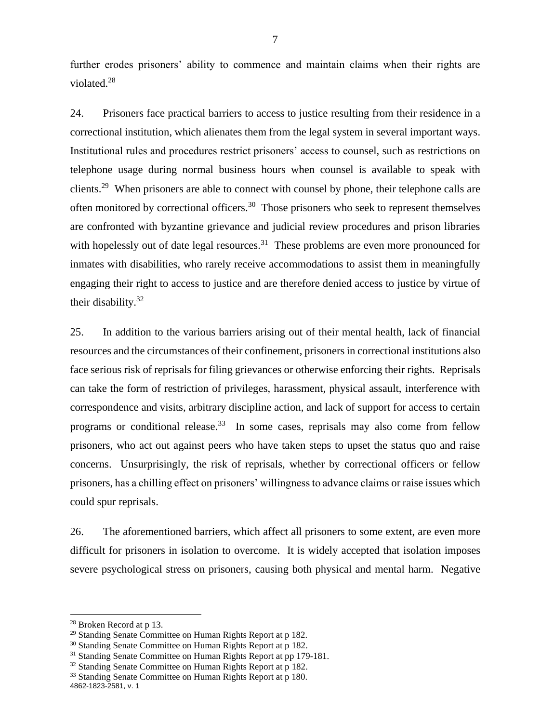further erodes prisoners' ability to commence and maintain claims when their rights are violated.<sup>28</sup>

24. Prisoners face practical barriers to access to justice resulting from their residence in a correctional institution, which alienates them from the legal system in several important ways. Institutional rules and procedures restrict prisoners' access to counsel, such as restrictions on telephone usage during normal business hours when counsel is available to speak with clients.<sup>29</sup> When prisoners are able to connect with counsel by phone, their telephone calls are often monitored by correctional officers.<sup>30</sup> Those prisoners who seek to represent themselves are confronted with byzantine grievance and judicial review procedures and prison libraries with hopelessly out of date legal resources.<sup>31</sup> These problems are even more pronounced for inmates with disabilities, who rarely receive accommodations to assist them in meaningfully engaging their right to access to justice and are therefore denied access to justice by virtue of their disability.<sup>32</sup>

25. In addition to the various barriers arising out of their mental health, lack of financial resources and the circumstances of their confinement, prisoners in correctional institutions also face serious risk of reprisals for filing grievances or otherwise enforcing their rights. Reprisals can take the form of restriction of privileges, harassment, physical assault, interference with correspondence and visits, arbitrary discipline action, and lack of support for access to certain programs or conditional release.<sup>33</sup> In some cases, reprisals may also come from fellow prisoners, who act out against peers who have taken steps to upset the status quo and raise concerns. Unsurprisingly, the risk of reprisals, whether by correctional officers or fellow prisoners, has a chilling effect on prisoners' willingness to advance claims or raise issues which could spur reprisals.

26. The aforementioned barriers, which affect all prisoners to some extent, are even more difficult for prisoners in isolation to overcome. It is widely accepted that isolation imposes severe psychological stress on prisoners, causing both physical and mental harm. Negative

<sup>28</sup> Broken Record at p 13.

<sup>&</sup>lt;sup>29</sup> Standing Senate Committee on Human Rights Report at p 182.

<sup>&</sup>lt;sup>30</sup> Standing Senate Committee on Human Rights Report at p 182.

<sup>&</sup>lt;sup>31</sup> Standing Senate Committee on Human Rights Report at pp 179-181.

<sup>&</sup>lt;sup>32</sup> Standing Senate Committee on Human Rights Report at p 182.

<sup>4862-1823-2581,</sup> v. 1 <sup>33</sup> Standing Senate Committee on Human Rights Report at p 180.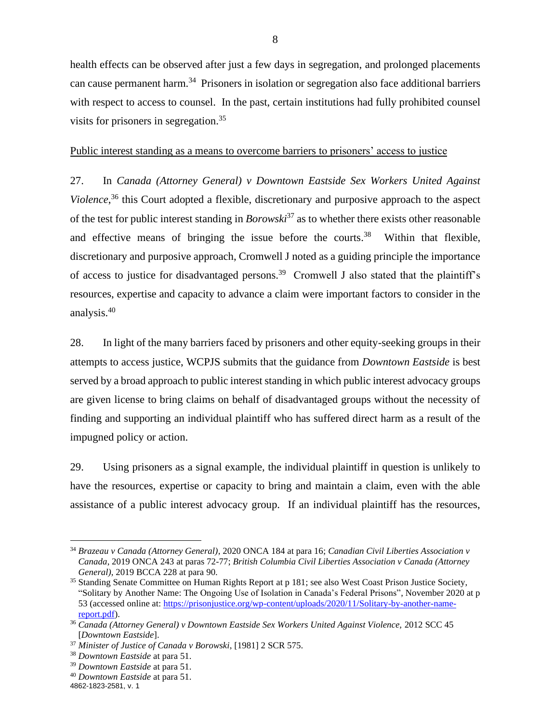health effects can be observed after just a few days in segregation, and prolonged placements can cause permanent harm.<sup>34</sup> Prisoners in isolation or segregation also face additional barriers with respect to access to counsel. In the past, certain institutions had fully prohibited counsel visits for prisoners in segregation.<sup>35</sup>

#### Public interest standing as a means to overcome barriers to prisoners' access to justice

27. In *Canada (Attorney General) v Downtown Eastside Sex Workers United Against Violence*, <sup>36</sup> this Court adopted a flexible, discretionary and purposive approach to the aspect of the test for public interest standing in *Borowski*<sup>37</sup> as to whether there exists other reasonable and effective means of bringing the issue before the courts.<sup>38</sup> Within that flexible, discretionary and purposive approach, Cromwell J noted as a guiding principle the importance of access to justice for disadvantaged persons.<sup>39</sup> Cromwell J also stated that the plaintiff's resources, expertise and capacity to advance a claim were important factors to consider in the analysis. 40

28. In light of the many barriers faced by prisoners and other equity-seeking groups in their attempts to access justice, WCPJS submits that the guidance from *Downtown Eastside* is best served by a broad approach to public interest standing in which public interest advocacy groups are given license to bring claims on behalf of disadvantaged groups without the necessity of finding and supporting an individual plaintiff who has suffered direct harm as a result of the impugned policy or action.

29. Using prisoners as a signal example, the individual plaintiff in question is unlikely to have the resources, expertise or capacity to bring and maintain a claim, even with the able assistance of a public interest advocacy group. If an individual plaintiff has the resources,

<sup>34</sup> *Brazeau v Canada (Attorney General)*, 2020 ONCA 184 at para 16; *Canadian Civil Liberties Association v Canada*, 2019 ONCA 243 at paras 72-77; *British Columbia Civil Liberties Association v Canada (Attorney General)*, 2019 BCCA 228 at para 90.

<sup>&</sup>lt;sup>35</sup> Standing Senate Committee on Human Rights Report at p 181; see also West Coast Prison Justice Society, "Solitary by Another Name: The Ongoing Use of Isolation in Canada's Federal Prisons", November 2020 at p 53 (accessed online at: [https://prisonjustice.org/wp-content/uploads/2020/11/Solitary-by-another-name](https://prisonjustice.org/wp-content/uploads/2020/11/Solitary-by-another-name-report.pdf)[report.pdf\)](https://prisonjustice.org/wp-content/uploads/2020/11/Solitary-by-another-name-report.pdf).

<sup>36</sup> *Canada (Attorney General) v Downtown Eastside Sex Workers United Against Violence,* 2012 SCC 45 [*Downtown Eastside*].

<sup>37</sup> *Minister of Justice of Canada v Borowski*, [1981] 2 SCR 575.

<sup>38</sup> *Downtown Eastside* at para 51.

<sup>39</sup> *Downtown Eastside* at para 51.

<sup>40</sup> *Downtown Eastside* at para 51.

<sup>4862-1823-2581,</sup> v. 1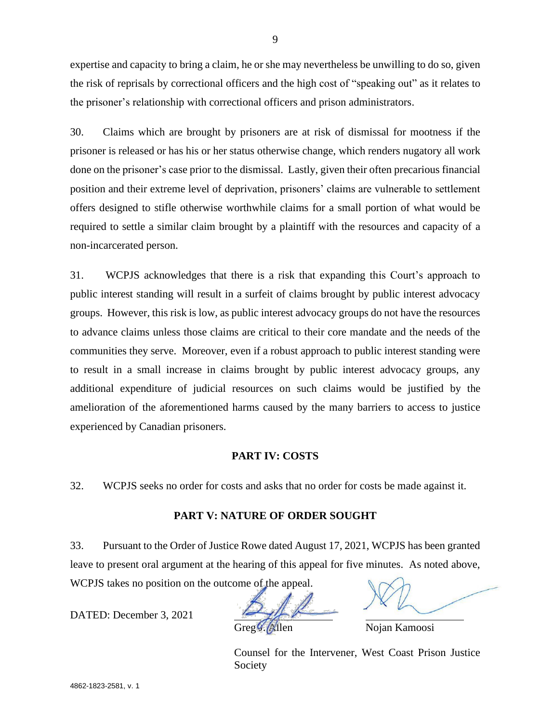expertise and capacity to bring a claim, he or she may nevertheless be unwilling to do so, given the risk of reprisals by correctional officers and the high cost of "speaking out" as it relates to the prisoner's relationship with correctional officers and prison administrators.

30. Claims which are brought by prisoners are at risk of dismissal for mootness if the prisoner is released or has his or her status otherwise change, which renders nugatory all work done on the prisoner's case prior to the dismissal. Lastly, given their often precarious financial position and their extreme level of deprivation, prisoners' claims are vulnerable to settlement offers designed to stifle otherwise worthwhile claims for a small portion of what would be required to settle a similar claim brought by a plaintiff with the resources and capacity of a non-incarcerated person.

31. WCPJS acknowledges that there is a risk that expanding this Court's approach to public interest standing will result in a surfeit of claims brought by public interest advocacy groups. However, this risk is low, as public interest advocacy groups do not have the resources to advance claims unless those claims are critical to their core mandate and the needs of the communities they serve. Moreover, even if a robust approach to public interest standing were to result in a small increase in claims brought by public interest advocacy groups, any additional expenditure of judicial resources on such claims would be justified by the amelioration of the aforementioned harms caused by the many barriers to access to justice experienced by Canadian prisoners.

#### **PART IV: COSTS**

32. WCPJS seeks no order for costs and asks that no order for costs be made against it.

# **PART V: NATURE OF ORDER SOUGHT**

33. Pursuant to the Order of Justice Rowe dated August 17, 2021, WCPJS has been granted leave to present oral argument at the hearing of this appeal for five minutes. As noted above, WCPJS takes no position on the outcome of the appeal.

DATED: December 3, 2021

 $\beta$ llen Nojan Kamoosi

Counsel for the Intervener, West Coast Prison Justice Society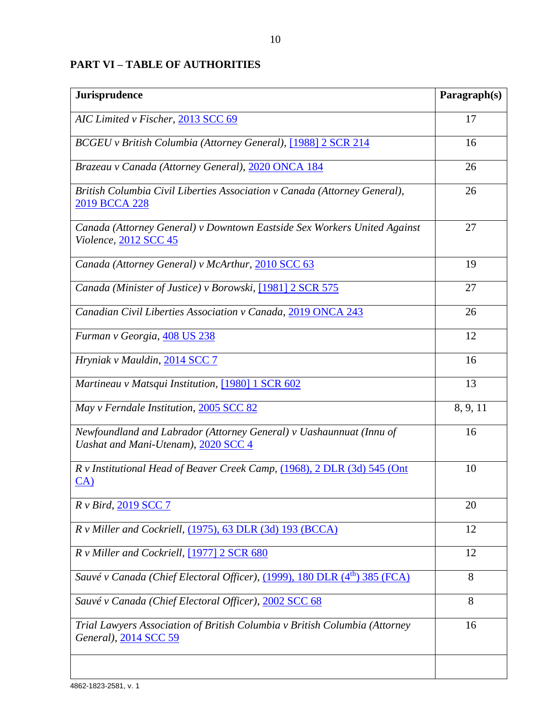# **PART VI – TABLE OF AUTHORITIES**

| Jurisprudence                                                                                              | Paragraph(s) |
|------------------------------------------------------------------------------------------------------------|--------------|
| AIC Limited v Fischer, 2013 SCC 69                                                                         | 17           |
| BCGEU v British Columbia (Attorney General), [1988] 2 SCR 214                                              | 16           |
| Brazeau v Canada (Attorney General), 2020 ONCA 184                                                         | 26           |
| British Columbia Civil Liberties Association v Canada (Attorney General),<br>2019 BCCA 228                 | 26           |
| Canada (Attorney General) v Downtown Eastside Sex Workers United Against<br>Violence, 2012 SCC 45          | 27           |
| Canada (Attorney General) v McArthur, 2010 SCC 63                                                          | 19           |
| Canada (Minister of Justice) v Borowski, [1981] 2 SCR 575                                                  | 27           |
| Canadian Civil Liberties Association v Canada, 2019 ONCA 243                                               | 26           |
| Furman v Georgia, 408 US 238                                                                               | 12           |
| Hryniak v Mauldin, 2014 SCC 7                                                                              | 16           |
| Martineau v Matsqui Institution, [1980] 1 SCR 602                                                          | 13           |
| May v Ferndale Institution, 2005 SCC 82                                                                    | 8, 9, 11     |
| Newfoundland and Labrador (Attorney General) v Uashaunnuat (Innu of<br>Uashat and Mani-Utenam), 2020 SCC 4 | 16           |
| R v Institutional Head of Beaver Creek Camp, (1968), 2 DLR (3d) 545 (Ont<br>CA)                            | 10           |
| R v Bird, 2019 SCC 7                                                                                       | 20           |
| R v Miller and Cockriell, (1975), 63 DLR (3d) 193 (BCCA)                                                   | 12           |
| R v Miller and Cockriell, [1977] 2 SCR 680                                                                 | 12           |
| Sauvé v Canada (Chief Electoral Officer), (1999), 180 DLR (4 <sup>th</sup> ) 385 (FCA)                     | 8            |
| Sauvé v Canada (Chief Electoral Officer), 2002 SCC 68                                                      | 8            |
| Trial Lawyers Association of British Columbia v British Columbia (Attorney<br>General), 2014 SCC 59        | 16           |
|                                                                                                            |              |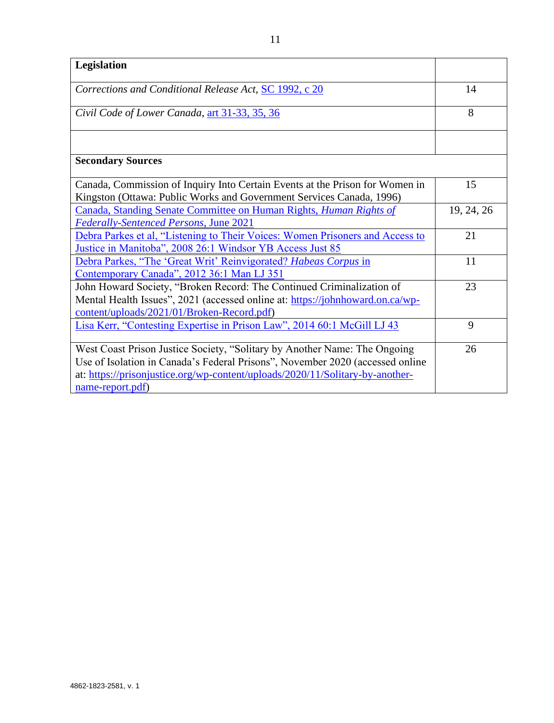| Legislation                                                                                                                                                                                                                                                     |            |
|-----------------------------------------------------------------------------------------------------------------------------------------------------------------------------------------------------------------------------------------------------------------|------------|
| Corrections and Conditional Release Act, SC 1992, c 20                                                                                                                                                                                                          | 14         |
| Civil Code of Lower Canada, art 31-33, 35, 36                                                                                                                                                                                                                   | 8          |
|                                                                                                                                                                                                                                                                 |            |
| <b>Secondary Sources</b>                                                                                                                                                                                                                                        |            |
| Canada, Commission of Inquiry Into Certain Events at the Prison for Women in<br>Kingston (Ottawa: Public Works and Government Services Canada, 1996)                                                                                                            | 15         |
| Canada, Standing Senate Committee on Human Rights, Human Rights of<br><b>Federally-Sentenced Persons, June 2021</b>                                                                                                                                             | 19, 24, 26 |
| Debra Parkes et al, "Listening to Their Voices: Women Prisoners and Access to<br>Justice in Manitoba", 2008 26:1 Windsor YB Access Just 85                                                                                                                      | 21         |
| Debra Parkes, "The 'Great Writ' Reinvigorated? Habeas Corpus in<br>Contemporary Canada", 2012 36:1 Man LJ 351                                                                                                                                                   | 11         |
| John Howard Society, "Broken Record: The Continued Criminalization of<br>Mental Health Issues", 2021 (accessed online at: https://johnhoward.on.ca/wp-<br>content/uploads/2021/01/Broken-Record.pdf)                                                            | 23         |
| Lisa Kerr, "Contesting Expertise in Prison Law", 2014 60:1 McGill LJ 43                                                                                                                                                                                         | 9          |
| West Coast Prison Justice Society, "Solitary by Another Name: The Ongoing<br>Use of Isolation in Canada's Federal Prisons", November 2020 (accessed online<br>at: https://prisonjustice.org/wp-content/uploads/2020/11/Solitary-by-another-<br>name-report.pdf) | 26         |